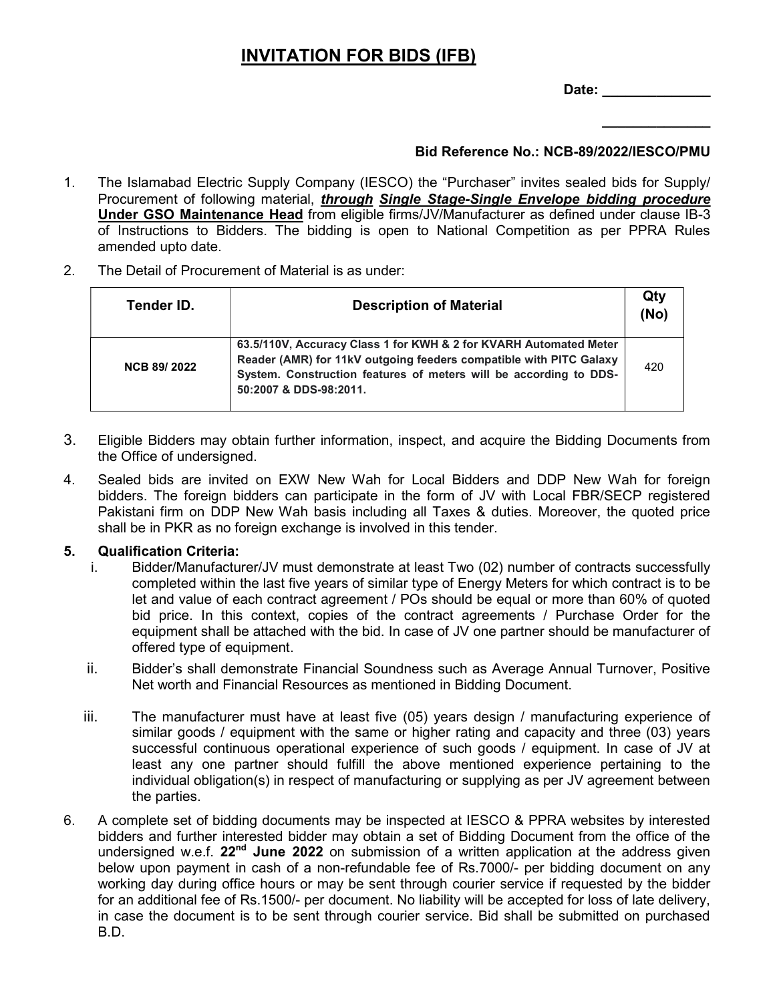## INVITATION FOR BIDS (IFB)

Date: \_\_\_\_\_\_\_\_\_\_\_\_\_\_

 $\frac{1}{2}$ 

## Bid Reference No.: NCB-89/2022/IESCO/PMU

- 1. The Islamabad Electric Supply Company (IESCO) the "Purchaser" invites sealed bids for Supply/ Procurement of following material, through Single Stage-Single Envelope bidding procedure Under GSO Maintenance Head from eligible firms/JV/Manufacturer as defined under clause IB-3 of Instructions to Bidders. The bidding is open to National Competition as per PPRA Rules amended upto date.
- 2. The Detail of Procurement of Material is as under:

| Tender ID.         | <b>Description of Material</b>                                                                                                                                                                                                         | Qty<br>(No) |
|--------------------|----------------------------------------------------------------------------------------------------------------------------------------------------------------------------------------------------------------------------------------|-------------|
| <b>NCB 89/2022</b> | 63.5/110V, Accuracy Class 1 for KWH & 2 for KVARH Automated Meter<br>Reader (AMR) for 11kV outgoing feeders compatible with PITC Galaxy<br>System. Construction features of meters will be according to DDS-<br>50:2007 & DDS-98:2011. | 420         |

- 3. Eligible Bidders may obtain further information, inspect, and acquire the Bidding Documents from the Office of undersigned.
- 4. Sealed bids are invited on EXW New Wah for Local Bidders and DDP New Wah for foreign bidders. The foreign bidders can participate in the form of JV with Local FBR/SECP registered Pakistani firm on DDP New Wah basis including all Taxes & duties. Moreover, the quoted price shall be in PKR as no foreign exchange is involved in this tender.

## 5. Qualification Criteria:

- i. Bidder/Manufacturer/JV must demonstrate at least Two (02) number of contracts successfully completed within the last five years of similar type of Energy Meters for which contract is to be let and value of each contract agreement / POs should be equal or more than 60% of quoted bid price. In this context, copies of the contract agreements / Purchase Order for the equipment shall be attached with the bid. In case of JV one partner should be manufacturer of offered type of equipment.
- ii. Bidder's shall demonstrate Financial Soundness such as Average Annual Turnover, Positive Net worth and Financial Resources as mentioned in Bidding Document.
- iii. The manufacturer must have at least five (05) years design / manufacturing experience of similar goods / equipment with the same or higher rating and capacity and three (03) years successful continuous operational experience of such goods / equipment. In case of JV at least any one partner should fulfill the above mentioned experience pertaining to the individual obligation(s) in respect of manufacturing or supplying as per JV agreement between the parties.
- 6. A complete set of bidding documents may be inspected at IESCO & PPRA websites by interested bidders and further interested bidder may obtain a set of Bidding Document from the office of the undersigned w.e.f. 22<sup>nd</sup> June 2022 on submission of a written application at the address given below upon payment in cash of a non-refundable fee of Rs.7000/- per bidding document on any working day during office hours or may be sent through courier service if requested by the bidder for an additional fee of Rs.1500/- per document. No liability will be accepted for loss of late delivery, in case the document is to be sent through courier service. Bid shall be submitted on purchased B.D.